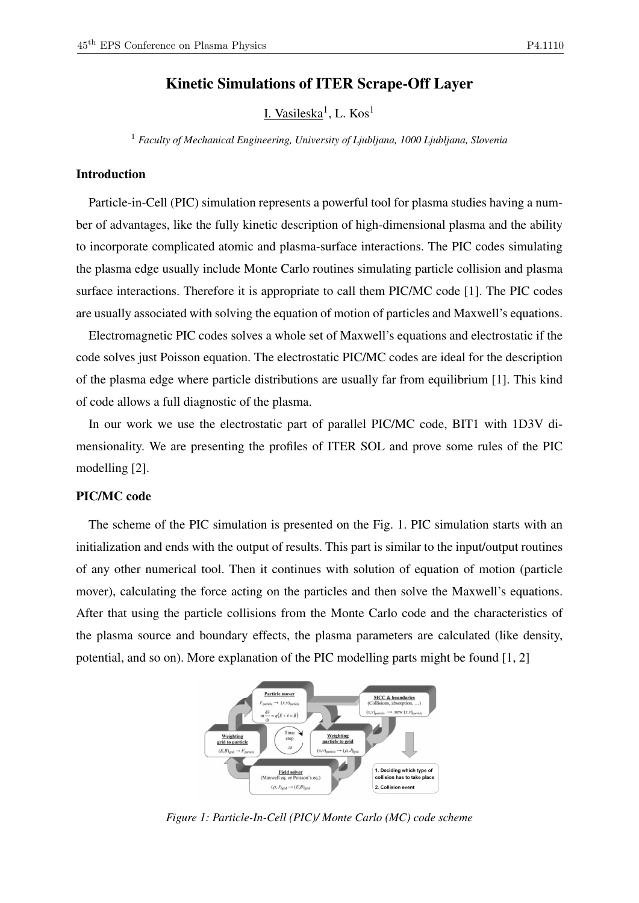# Kinetic Simulations of ITER Scrape-Off Layer

<u>I. Vasileska</u><sup>1</sup>, L. Kos<sup>1</sup>

<sup>1</sup> *Faculty of Mechanical Engineering, University of Ljubljana, 1000 Ljubljana, Slovenia*

# Introduction

Particle-in-Cell (PIC) simulation represents a powerful tool for plasma studies having a number of advantages, like the fully kinetic description of high-dimensional plasma and the ability to incorporate complicated atomic and plasma-surface interactions. The PIC codes simulating the plasma edge usually include Monte Carlo routines simulating particle collision and plasma surface interactions. Therefore it is appropriate to call them PIC/MC code [1]. The PIC codes are usually associated with solving the equation of motion of particles and Maxwell's equations.

Electromagnetic PIC codes solves a whole set of Maxwell's equations and electrostatic if the code solves just Poisson equation. The electrostatic PIC/MC codes are ideal for the description of the plasma edge where particle distributions are usually far from equilibrium [1]. This kind of code allows a full diagnostic of the plasma.

In our work we use the electrostatic part of parallel PIC/MC code, BIT1 with 1D3V dimensionality. We are presenting the profiles of ITER SOL and prove some rules of the PIC modelling [2].

#### PIC/MC code

The scheme of the PIC simulation is presented on the Fig. 1. PIC simulation starts with an initialization and ends with the output of results. This part is similar to the input/output routines of any other numerical tool. Then it continues with solution of equation of motion (particle mover), calculating the force acting on the particles and then solve the Maxwell's equations. After that using the particle collisions from the Monte Carlo code and the characteristics of the plasma source and boundary effects, the plasma parameters are calculated (like density, potential, and so on). More explanation of the PIC modelling parts might be found [1, 2]



*Figure 1: Particle-In-Cell (PIC)/ Monte Carlo (MC) code scheme*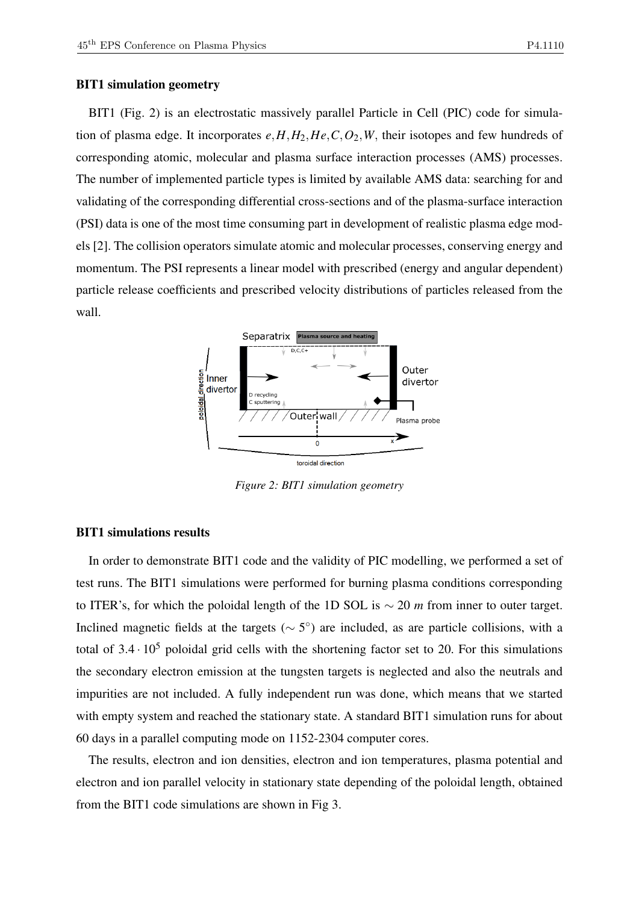#### BIT1 simulation geometry

BIT1 (Fig. 2) is an electrostatic massively parallel Particle in Cell (PIC) code for simulation of plasma edge. It incorporates  $e, H, H_2, He, C, O_2, W$ , their isotopes and few hundreds of corresponding atomic, molecular and plasma surface interaction processes (AMS) processes. The number of implemented particle types is limited by available AMS data: searching for and validating of the corresponding differential cross-sections and of the plasma-surface interaction (PSI) data is one of the most time consuming part in development of realistic plasma edge models [2]. The collision operators simulate atomic and molecular processes, conserving energy and momentum. The PSI represents a linear model with prescribed (energy and angular dependent) particle release coefficients and prescribed velocity distributions of particles released from the wall.



*Figure 2: BIT1 simulation geometry*

# BIT1 simulations results

In order to demonstrate BIT1 code and the validity of PIC modelling, we performed a set of test runs. The BIT1 simulations were performed for burning plasma conditions corresponding to ITER's, for which the poloidal length of the 1D SOL is ∼ 20 *m* from inner to outer target. Inclined magnetic fields at the targets ( $\sim$  5°) are included, as are particle collisions, with a total of  $3.4 \cdot 10^5$  poloidal grid cells with the shortening factor set to 20. For this simulations the secondary electron emission at the tungsten targets is neglected and also the neutrals and impurities are not included. A fully independent run was done, which means that we started with empty system and reached the stationary state. A standard BIT1 simulation runs for about 60 days in a parallel computing mode on 1152-2304 computer cores.

The results, electron and ion densities, electron and ion temperatures, plasma potential and electron and ion parallel velocity in stationary state depending of the poloidal length, obtained from the BIT1 code simulations are shown in Fig 3.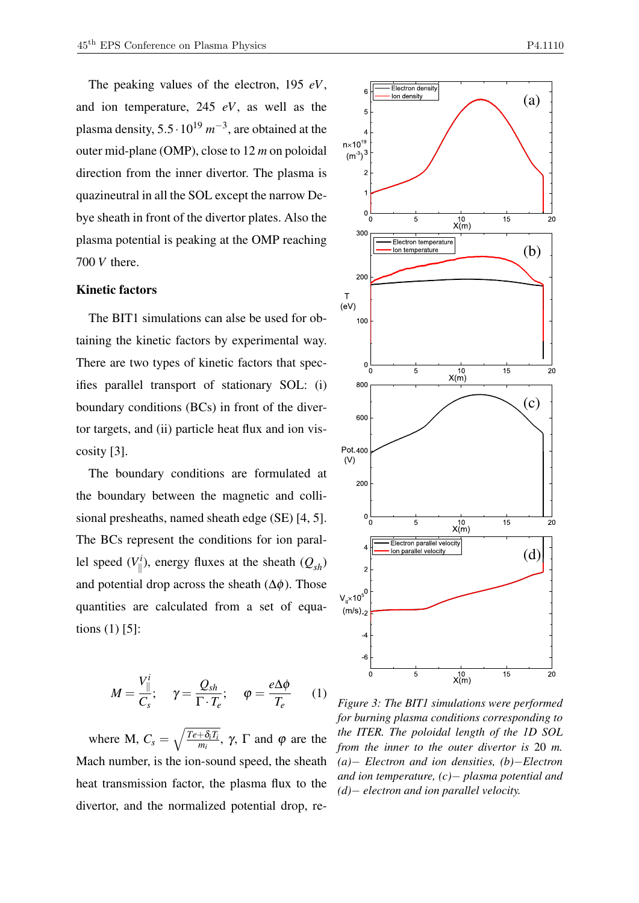The peaking values of the electron, 195 *eV*, and ion temperature, 245 *eV*, as well as the plasma density,  $5.5 \cdot 10^{19}$   $m^{-3}$ , are obtained at the outer mid-plane (OMP), close to 12 *m* on poloidal direction from the inner divertor. The plasma is quazineutral in all the SOL except the narrow Debye sheath in front of the divertor plates. Also the plasma potential is peaking at the OMP reaching 700 *V* there.

#### Kinetic factors

The BIT1 simulations can alse be used for obtaining the kinetic factors by experimental way. There are two types of kinetic factors that specifies parallel transport of stationary SOL: (i) boundary conditions (BCs) in front of the divertor targets, and (ii) particle heat flux and ion viscosity [3].

The boundary conditions are formulated at the boundary between the magnetic and collisional presheaths, named sheath edge (SE) [4, 5]. The BCs represent the conditions for ion parallel speed  $(V_{\parallel}^i)$  $\binom{n}{k}$ , energy fluxes at the sheath  $(Q_{sh})$ and potential drop across the sheath  $(\Delta \phi)$ . Those quantities are calculated from a set of equations (1) [5]:

$$
M = \frac{V_{\parallel}^{i}}{C_{s}}; \quad \gamma = \frac{Q_{sh}}{\Gamma \cdot T_{e}}; \quad \varphi = \frac{e\Delta\phi}{T_{e}} \quad (1)
$$

where M,  $C_s = \sqrt{\frac{Te + \delta_i T_i}{m_i}}$  $\frac{+O_iI_i}{m_i}$ , γ, Γ and φ are the Mach number, is the ion-sound speed, the sheath heat transmission factor, the plasma flux to the divertor, and the normalized potential drop, re-



*Figure 3: The BIT1 simulations were performed for burning plasma conditions corresponding to the ITER. The poloidal length of the 1D SOL from the inner to the outer divertor is* 20 *m. (a)*− *Electron and ion densities, (b)*−*Electron and ion temperature, (c)*− *plasma potential and (d)*− *electron and ion parallel velocity.*